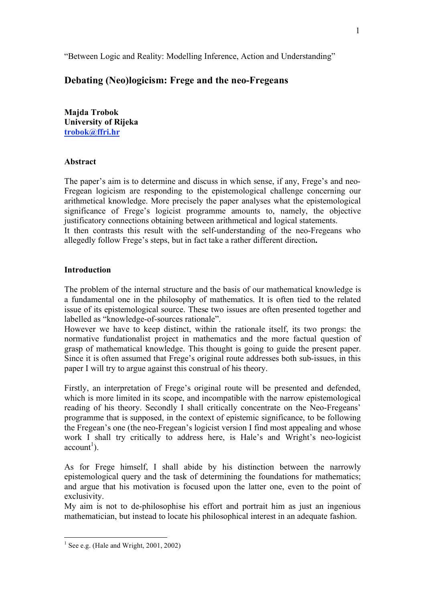"Between Logic and Reality: Modelling Inference, Action and Understanding"

# **Debating (Neo)logicism: Frege and the neo-Fregeans**

**Majda Trobok University of Rijeka trobok@ffri.hr** 

## **Abstract**

The paper's aim is to determine and discuss in which sense, if any, Frege's and neo-Fregean logicism are responding to the epistemological challenge concerning our arithmetical knowledge. More precisely the paper analyses what the epistemological significance of Frege's logicist programme amounts to, namely, the objective justificatory connections obtaining between arithmetical and logical statements. It then contrasts this result with the self-understanding of the neo-Fregeans who allegedly follow Frege's steps, but in fact take a rather different direction**.**

## **Introduction**

The problem of the internal structure and the basis of our mathematical knowledge is a fundamental one in the philosophy of mathematics. It is often tied to the related issue of its epistemological source. These two issues are often presented together and labelled as "knowledge-of-sources rationale".

However we have to keep distinct, within the rationale itself, its two prongs: the normative fundationalist project in mathematics and the more factual question of grasp of mathematical knowledge. This thought is going to guide the present paper. Since it is often assumed that Frege's original route addresses both sub-issues, in this paper I will try to argue against this construal of his theory.

Firstly, an interpretation of Frege's original route will be presented and defended, which is more limited in its scope, and incompatible with the narrow epistemological reading of his theory. Secondly I shall critically concentrate on the Neo-Fregeans' programme that is supposed, in the context of epistemic significance, to be following the Fregean's one (the neo-Fregean's logicist version I find most appealing and whose work I shall try critically to address here, is Hale's and Wright's neo-logicist  $account<sup>1</sup>$ ).

As for Frege himself, I shall abide by his distinction between the narrowly epistemological query and the task of determining the foundations for mathematics; and argue that his motivation is focused upon the latter one, even to the point of exclusivity.

My aim is not to de-philosophise his effort and portrait him as just an ingenious mathematician, but instead to locate his philosophical interest in an adequate fashion.

 $\frac{1}{1}$ <sup>1</sup> See e.g. (Hale and Wright, 2001, 2002)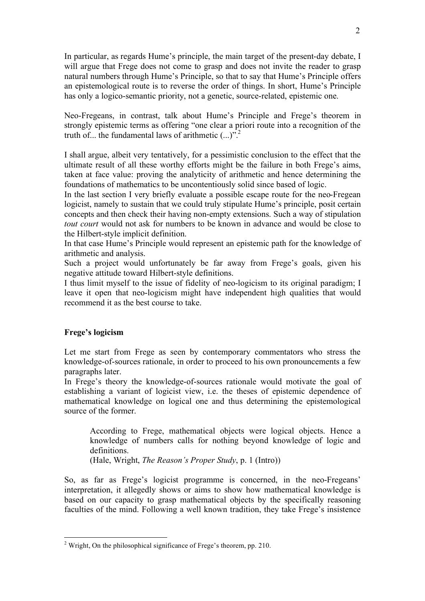In particular, as regards Hume's principle, the main target of the present-day debate, I will argue that Frege does not come to grasp and does not invite the reader to grasp natural numbers through Hume's Principle, so that to say that Hume's Principle offers an epistemological route is to reverse the order of things. In short, Hume's Principle has only a logico-semantic priority, not a genetic, source-related, epistemic one.

Neo-Fregeans, in contrast, talk about Hume's Principle and Frege's theorem in strongly epistemic terms as offering "one clear a priori route into a recognition of the truth of... the fundamental laws of arithmetic  $(...)$ .<sup>2</sup>

I shall argue, albeit very tentatively, for a pessimistic conclusion to the effect that the ultimate result of all these worthy efforts might be the failure in both Frege's aims, taken at face value: proving the analyticity of arithmetic and hence determining the foundations of mathematics to be uncontentiously solid since based of logic.

In the last section I very briefly evaluate a possible escape route for the neo-Fregean logicist, namely to sustain that we could truly stipulate Hume's principle, posit certain concepts and then check their having non-empty extensions. Such a way of stipulation *tout court* would not ask for numbers to be known in advance and would be close to the Hilbert-style implicit definition.

In that case Hume's Principle would represent an epistemic path for the knowledge of arithmetic and analysis.

Such a project would unfortunately be far away from Frege's goals, given his negative attitude toward Hilbert-style definitions.

I thus limit myself to the issue of fidelity of neo-logicism to its original paradigm; I leave it open that neo-logicism might have independent high qualities that would recommend it as the best course to take.

## **Frege's logicism**

Let me start from Frege as seen by contemporary commentators who stress the knowledge-of-sources rationale, in order to proceed to his own pronouncements a few paragraphs later.

In Frege's theory the knowledge-of-sources rationale would motivate the goal of establishing a variant of logicist view, i.e. the theses of epistemic dependence of mathematical knowledge on logical one and thus determining the epistemological source of the former.

According to Frege, mathematical objects were logical objects. Hence a knowledge of numbers calls for nothing beyond knowledge of logic and definitions.

(Hale, Wright, *The Reason's Proper Study*, p. 1 (Intro))

So, as far as Frege's logicist programme is concerned, in the neo-Fregeans' interpretation, it allegedly shows or aims to show how mathematical knowledge is based on our capacity to grasp mathematical objects by the specifically reasoning faculties of the mind. Following a well known tradition, they take Frege's insistence

<sup>&</sup>lt;sup>2</sup> Wright, On the philosophical significance of Frege's theorem, pp. 210.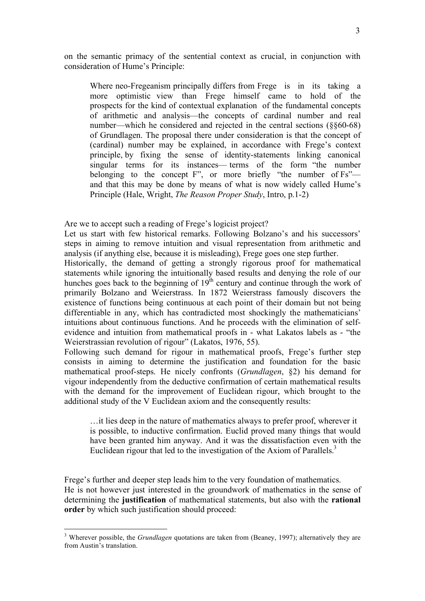on the semantic primacy of the sentential context as crucial, in conjunction with consideration of Hume's Principle:

Where neo-Fregeanism principally differs from Frege is in its taking a more optimistic view than Frege himself came to hold of the prospects for the kind of contextual explanation of the fundamental concepts of arithmetic and analysis—the concepts of cardinal number and real number—which he considered and rejected in the central sections (§§60-68) of Grundlagen. The proposal there under consideration is that the concept of (cardinal) number may be explained, in accordance with Frege's context principle, by fixing the sense of identity-statements linking canonical singular terms for its instances— terms of the form "the number belonging to the concept F", or more briefly "the number of Fs"and that this may be done by means of what is now widely called Hume's Principle (Hale, Wright, *The Reason Proper Study*, Intro, p.1-2)

Are we to accept such a reading of Frege's logicist project?

Let us start with few historical remarks. Following Bolzano's and his successors' steps in aiming to remove intuition and visual representation from arithmetic and analysis (if anything else, because it is misleading), Frege goes one step further.

Historically, the demand of getting a strongly rigorous proof for mathematical statements while ignoring the intuitionally based results and denying the role of our hunches goes back to the beginning of  $19<sup>th</sup>$  century and continue through the work of primarily Bolzano and Weierstrass. In 1872 Weierstrass famously discovers the existence of functions being continuous at each point of their domain but not being differentiable in any, which has contradicted most shockingly the mathematicians' intuitions about continuous functions. And he proceeds with the elimination of selfevidence and intuition from mathematical proofs in - what Lakatos labels as - "the Weierstrassian revolution of rigour" (Lakatos, 1976, 55).

Following such demand for rigour in mathematical proofs, Frege's further step consists in aiming to determine the justification and foundation for the basic mathematical proof-steps. He nicely confronts (*Grundlagen*, §2) his demand for vigour independently from the deductive confirmation of certain mathematical results with the demand for the improvement of Euclidean rigour, which brought to the additional study of the V Euclidean axiom and the consequently results:

…it lies deep in the nature of mathematics always to prefer proof, wherever it is possible, to inductive confirmation. Euclid proved many things that would have been granted him anyway. And it was the dissatisfaction even with the Euclidean rigour that led to the investigation of the Axiom of Parallels.<sup>3</sup>

Frege's further and deeper step leads him to the very foundation of mathematics. He is not however just interested in the groundwork of mathematics in the sense of determining the **justification** of mathematical statements, but also with the **rational order** by which such justification should proceed:

 <sup>3</sup> Wherever possible, the *Grundlagen* quotations are taken from (Beaney, 1997); alternatively they are from Austin's translation.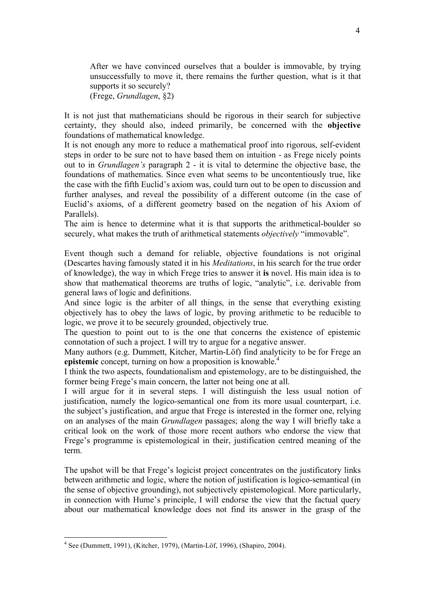After we have convinced ourselves that a boulder is immovable, by trying unsuccessfully to move it, there remains the further question, what is it that supports it so securely?

(Frege, *Grundlagen*, §2)

It is not just that mathematicians should be rigorous in their search for subjective certainty, they should also, indeed primarily, be concerned with the **objective** foundations of mathematical knowledge.

It is not enough any more to reduce a mathematical proof into rigorous, self-evident steps in order to be sure not to have based them on intuition - as Frege nicely points out to in *Grundlagen's* paragraph 2 - it is vital to determine the objective base, the foundations of mathematics. Since even what seems to be uncontentiously true, like the case with the fifth Euclid's axiom was, could turn out to be open to discussion and further analyses, and reveal the possibility of a different outcome (in the case of Euclid's axioms, of a different geometry based on the negation of his Axiom of Parallels).

The aim is hence to determine what it is that supports the arithmetical-boulder so securely, what makes the truth of arithmetical statements *objectively* "immovable".

Event though such a demand for reliable, objective foundations is not original (Descartes having famously stated it in his *Meditations*, in his search for the true order of knowledge), the way in which Frege tries to answer it **is** novel. His main idea is to show that mathematical theorems are truths of logic, "analytic", i.e. derivable from general laws of logic and definitions.

And since logic is the arbiter of all things, in the sense that everything existing objectively has to obey the laws of logic, by proving arithmetic to be reducible to logic, we prove it to be securely grounded, objectively true.

The question to point out to is the one that concerns the existence of epistemic connotation of such a project. I will try to argue for a negative answer.

Many authors (e.g. Dummett, Kitcher, Martin-Löf) find analyticity to be for Frege an **epistemic** concept, turning on how a proposition is knowable.<sup>4</sup>

I think the two aspects, foundationalism and epistemology, are to be distinguished, the former being Frege's main concern, the latter not being one at all.

I will argue for it in several steps. I will distinguish the less usual notion of justification, namely the logico-semantical one from its more usual counterpart, i.e. the subject's justification, and argue that Frege is interested in the former one, relying on an analyses of the main *Grundlagen* passages; along the way I will briefly take a critical look on the work of those more recent authors who endorse the view that Frege's programme is epistemological in their, justification centred meaning of the term.

The upshot will be that Frege's logicist project concentrates on the justificatory links between arithmetic and logic, where the notion of justification is logico-semantical (in the sense of objective grounding), not subjectively epistemological. More particularly, in connection with Hume's principle, I will endorse the view that the factual query about our mathematical knowledge does not find its answer in the grasp of the

 $\frac{1}{4}$  $4$  See (Dummett, 1991), (Kitcher, 1979), (Martin-Löf, 1996), (Shapiro, 2004).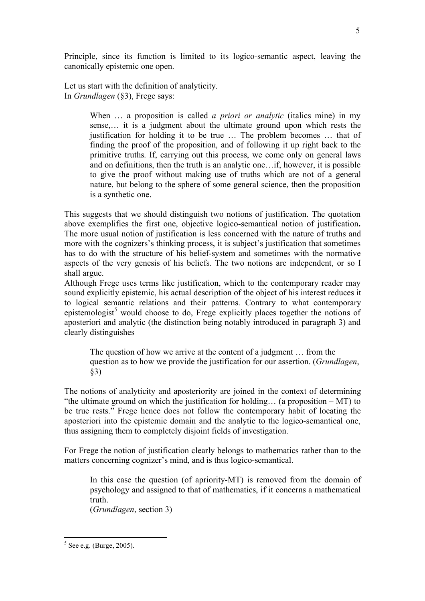Principle, since its function is limited to its logico-semantic aspect, leaving the canonically epistemic one open.

Let us start with the definition of analyticity. In *Grundlagen* (§3), Frege says:

> When ... a proposition is called *a priori or analytic* (italics mine) in my sense,… it is a judgment about the ultimate ground upon which rests the justification for holding it to be true … The problem becomes … that of finding the proof of the proposition, and of following it up right back to the primitive truths. If, carrying out this process, we come only on general laws and on definitions, then the truth is an analytic one…if, however, it is possible to give the proof without making use of truths which are not of a general nature, but belong to the sphere of some general science, then the proposition is a synthetic one.

This suggests that we should distinguish two notions of justification. The quotation above exemplifies the first one, objective logico-semantical notion of justification**.**  The more usual notion of justification is less concerned with the nature of truths and more with the cognizers's thinking process, it is subject's justification that sometimes has to do with the structure of his belief-system and sometimes with the normative aspects of the very genesis of his beliefs. The two notions are independent, or so I shall argue.

Although Frege uses terms like justification, which to the contemporary reader may sound explicitly epistemic, his actual description of the object of his interest reduces it to logical semantic relations and their patterns. Contrary to what contemporary epistemologist<sup>5</sup> would choose to do, Frege explicitly places together the notions of aposteriori and analytic (the distinction being notably introduced in paragraph 3) and clearly distinguishes

The question of how we arrive at the content of a judgment … from the question as to how we provide the justification for our assertion. (*Grundlagen*, §3)

The notions of analyticity and aposteriority are joined in the context of determining "the ultimate ground on which the justification for holding... (a proposition  $- MT$ ) to be true rests." Frege hence does not follow the contemporary habit of locating the aposteriori into the epistemic domain and the analytic to the logico-semantical one, thus assigning them to completely disjoint fields of investigation.

For Frege the notion of justification clearly belongs to mathematics rather than to the matters concerning cognizer's mind, and is thus logico-semantical.

In this case the question (of apriority-MT) is removed from the domain of psychology and assigned to that of mathematics, if it concerns a mathematical truth.

(*Grundlagen*, section 3)

 <sup>5</sup>  $<sup>5</sup>$  See e.g. (Burge, 2005).</sup>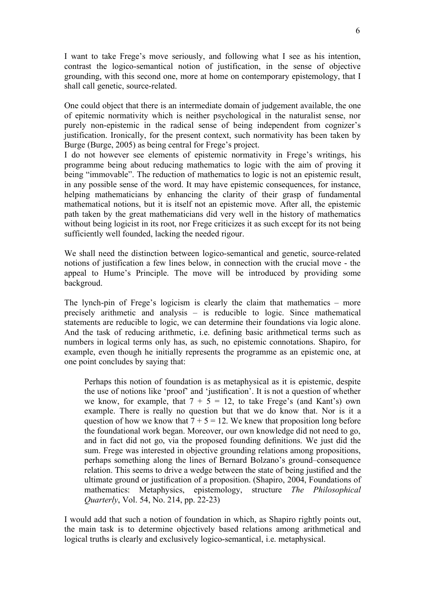I want to take Frege's move seriously, and following what I see as his intention, contrast the logico-semantical notion of justification, in the sense of objective grounding, with this second one, more at home on contemporary epistemology, that I shall call genetic, source-related.

One could object that there is an intermediate domain of judgement available, the one of epitemic normativity which is neither psychological in the naturalist sense, nor purely non-epistemic in the radical sense of being independent from cognizer's justification. Ironically, for the present context, such normativity has been taken by Burge (Burge, 2005) as being central for Frege's project.

I do not however see elements of epistemic normativity in Frege's writings, his programme being about reducing mathematics to logic with the aim of proving it being "immovable". The reduction of mathematics to logic is not an epistemic result, in any possible sense of the word. It may have epistemic consequences, for instance, helping mathematicians by enhancing the clarity of their grasp of fundamental mathematical notions, but it is itself not an epistemic move. After all, the epistemic path taken by the great mathematicians did very well in the history of mathematics without being logicist in its root, nor Frege criticizes it as such except for its not being sufficiently well founded, lacking the needed rigour.

We shall need the distinction between logico-semantical and genetic, source-related notions of justification a few lines below, in connection with the crucial move - the appeal to Hume's Principle. The move will be introduced by providing some backgroud.

The lynch-pin of Frege's logicism is clearly the claim that mathematics – more precisely arithmetic and analysis – is reducible to logic. Since mathematical statements are reducible to logic, we can determine their foundations via logic alone. And the task of reducing arithmetic, i.e. defining basic arithmetical terms such as numbers in logical terms only has, as such, no epistemic connotations. Shapiro, for example, even though he initially represents the programme as an epistemic one, at one point concludes by saying that:

Perhaps this notion of foundation is as metaphysical as it is epistemic, despite the use of notions like 'proof' and 'justification'. It is not a question of whether we know, for example, that  $7 + 5 = 12$ , to take Frege's (and Kant's) own example. There is really no question but that we do know that. Nor is it a question of how we know that  $7 + 5 = 12$ . We knew that proposition long before the foundational work began. Moreover, our own knowledge did not need to go, and in fact did not go, via the proposed founding definitions. We just did the sum. Frege was interested in objective grounding relations among propositions, perhaps something along the lines of Bernard Bolzano's ground–consequence relation. This seems to drive a wedge between the state of being justified and the ultimate ground or justification of a proposition. (Shapiro, 2004, Foundations of mathematics: Metaphysics, epistemology, structure *The Philosophical Quarterly*, Vol. 54, No. 214, pp. 22-23)

I would add that such a notion of foundation in which, as Shapiro rightly points out, the main task is to determine objectively based relations among arithmetical and logical truths is clearly and exclusively logico-semantical, i.e. metaphysical.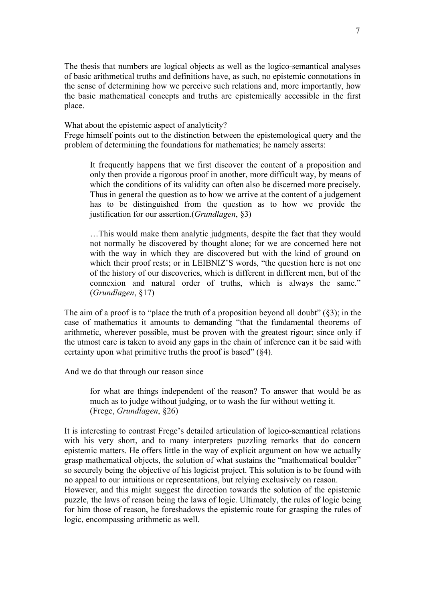The thesis that numbers are logical objects as well as the logico-semantical analyses of basic arithmetical truths and definitions have, as such, no epistemic connotations in the sense of determining how we perceive such relations and, more importantly, how the basic mathematical concepts and truths are epistemically accessible in the first place.

What about the epistemic aspect of analyticity?

Frege himself points out to the distinction between the epistemological query and the problem of determining the foundations for mathematics; he namely asserts:

It frequently happens that we first discover the content of a proposition and only then provide a rigorous proof in another, more difficult way, by means of which the conditions of its validity can often also be discerned more precisely. Thus in general the question as to how we arrive at the content of a judgement has to be distinguished from the question as to how we provide the justification for our assertion.(*Grundlagen*, §3)

…This would make them analytic judgments, despite the fact that they would not normally be discovered by thought alone; for we are concerned here not with the way in which they are discovered but with the kind of ground on which their proof rests; or in LEIBNIZ'S words, "the question here is not one of the history of our discoveries, which is different in different men, but of the connexion and natural order of truths, which is always the same." (*Grundlagen*, §17)

The aim of a proof is to "place the truth of a proposition beyond all doubt"  $(\S 3)$ ; in the case of mathematics it amounts to demanding "that the fundamental theorems of arithmetic, wherever possible, must be proven with the greatest rigour; since only if the utmost care is taken to avoid any gaps in the chain of inference can it be said with certainty upon what primitive truths the proof is based" (§4).

And we do that through our reason since

for what are things independent of the reason? To answer that would be as much as to judge without judging, or to wash the fur without wetting it. (Frege, *Grundlagen*, §26)

It is interesting to contrast Frege's detailed articulation of logico-semantical relations with his very short, and to many interpreters puzzling remarks that do concern epistemic matters. He offers little in the way of explicit argument on how we actually grasp mathematical objects, the solution of what sustains the "mathematical boulder" so securely being the objective of his logicist project. This solution is to be found with no appeal to our intuitions or representations, but relying exclusively on reason. However, and this might suggest the direction towards the solution of the epistemic puzzle, the laws of reason being the laws of logic. Ultimately, the rules of logic being for him those of reason, he foreshadows the epistemic route for grasping the rules of logic, encompassing arithmetic as well.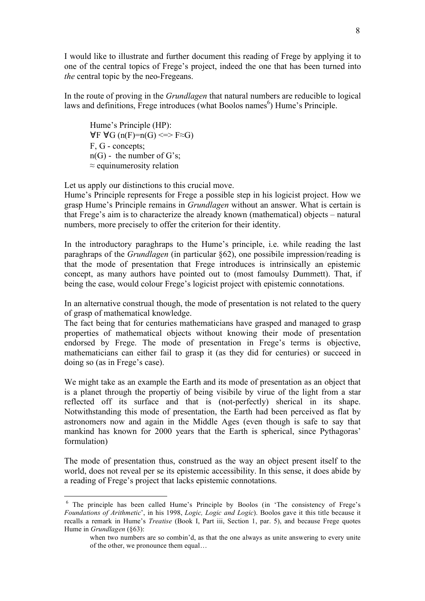I would like to illustrate and further document this reading of Frege by applying it to one of the central topics of Frege's project, indeed the one that has been turned into *the* central topic by the neo-Fregeans.

In the route of proving in the *Grundlagen* that natural numbers are reducible to logical laws and definitions, Frege introduces (what Boolos names<sup>6</sup>) Hume's Principle.

Hume's Principle (HP):  $\forall$ F  $\forall$ G (n(F)=n(G) <=> F $\approx$ G) F, G - concepts;  $n(G)$  - the number of G's;  $\approx$  equinumerosity relation

Let us apply our distinctions to this crucial move.

Hume's Principle represents for Frege a possible step in his logicist project. How we grasp Hume's Principle remains in *Grundlagen* without an answer. What is certain is that Frege's aim is to characterize the already known (mathematical) objects – natural numbers, more precisely to offer the criterion for their identity.

In the introductory paraghraps to the Hume's principle, i.e. while reading the last paraghraps of the *Grundlagen* (in particular §62), one possibile impression/reading is that the mode of presentation that Frege introduces is intrinsically an epistemic concept, as many authors have pointed out to (most famoulsy Dummett). That, if being the case, would colour Frege's logicist project with epistemic connotations.

In an alternative construal though, the mode of presentation is not related to the query of grasp of mathematical knowledge.

The fact being that for centuries mathematicians have grasped and managed to grasp properties of mathematical objects without knowing their mode of presentation endorsed by Frege. The mode of presentation in Frege's terms is objective, mathematicians can either fail to grasp it (as they did for centuries) or succeed in doing so (as in Frege's case).

We might take as an example the Earth and its mode of presentation as an object that is a planet through the propertiy of being visibile by virue of the light from a star reflected off its surface and that is (not-perfectly) sherical in its shape. Notwithstanding this mode of presentation, the Earth had been perceived as flat by astronomers now and again in the Middle Ages (even though is safe to say that mankind has known for 2000 years that the Earth is spherical, since Pythagoras' formulation)

The mode of presentation thus, construed as the way an object present itself to the world, does not reveal per se its epistemic accessibility. In this sense, it does abide by a reading of Frege's project that lacks epistemic connotations.

 <sup>6</sup> The principle has been called Hume's Principle by Boolos (in 'The consistency of Frege's *Foundations of Arithmetic*', in his 1998, *Logic, Logic and Logic*). Boolos gave it this title because it recalls a remark in Hume's *Treatise* (Book I, Part iii, Section 1, par. 5), and because Frege quotes Hume in *Grundlagen* (§63):

when two numbers are so combin'd, as that the one always as unite answering to every unite of the other, we pronounce them equal…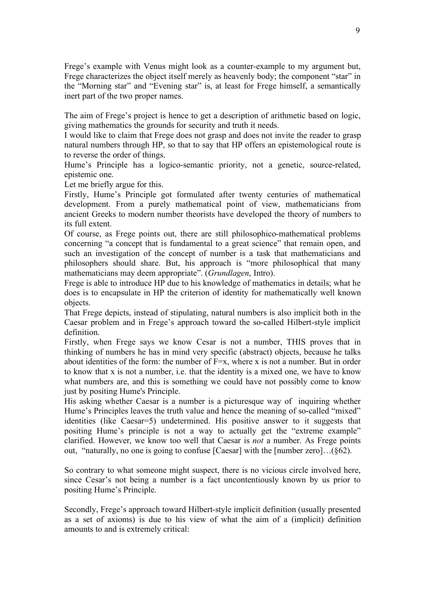Frege's example with Venus might look as a counter-example to my argument but, Frege characterizes the object itself merely as heavenly body; the component "star" in the "Morning star" and "Evening star" is, at least for Frege himself, a semantically inert part of the two proper names.

The aim of Frege's project is hence to get a description of arithmetic based on logic, giving mathematics the grounds for security and truth it needs.

I would like to claim that Frege does not grasp and does not invite the reader to grasp natural numbers through HP, so that to say that HP offers an epistemological route is to reverse the order of things.

Hume's Principle has a logico-semantic priority, not a genetic, source-related, epistemic one.

Let me briefly argue for this.

Firstly, Hume's Principle got formulated after twenty centuries of mathematical development. From a purely mathematical point of view, mathematicians from ancient Greeks to modern number theorists have developed the theory of numbers to its full extent.

Of course, as Frege points out, there are still philosophico-mathematical problems concerning "a concept that is fundamental to a great science" that remain open, and such an investigation of the concept of number is a task that mathematicians and philosophers should share. But, his approach is "more philosophical that many mathematicians may deem appropriate". (*Grundlagen*, Intro).

Frege is able to introduce HP due to his knowledge of mathematics in details; what he does is to encapsulate in HP the criterion of identity for mathematically well known objects.

That Frege depicts, instead of stipulating, natural numbers is also implicit both in the Caesar problem and in Frege's approach toward the so-called Hilbert-style implicit definition.

Firstly, when Frege says we know Cesar is not a number, THIS proves that in thinking of numbers he has in mind very specific (abstract) objects, because he talks about identities of the form: the number of  $F=x$ , where x is not a number. But in order to know that x is not a number, i.e. that the identity is a mixed one, we have to know what numbers are, and this is something we could have not possibly come to know just by positing Hume's Principle.

His asking whether Caesar is a number is a picturesque way of inquiring whether Hume's Principles leaves the truth value and hence the meaning of so-called "mixed" identities (like Caesar=5) undetermined. His positive answer to it suggests that positing Hume's principle is not a way to actually get the "extreme example" clarified. However, we know too well that Caesar is *not* a number. As Frege points out, "naturally, no one is going to confuse [Caesar] with the [number zero]…(§62).

So contrary to what someone might suspect, there is no vicious circle involved here, since Cesar's not being a number is a fact uncontentiously known by us prior to positing Hume's Principle.

Secondly, Frege's approach toward Hilbert-style implicit definition (usually presented as a set of axioms) is due to his view of what the aim of a (implicit) definition amounts to and is extremely critical: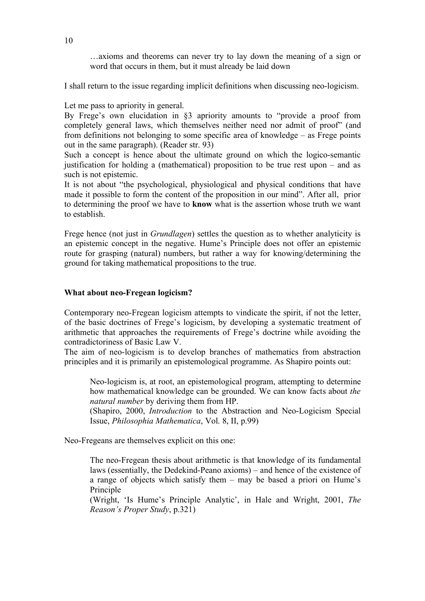…axioms and theorems can never try to lay down the meaning of a sign or word that occurs in them, but it must already be laid down

I shall return to the issue regarding implicit definitions when discussing neo-logicism.

Let me pass to apriority in general.

By Frege's own elucidation in §3 apriority amounts to "provide a proof from completely general laws, which themselves neither need nor admit of proof" (and from definitions not belonging to some specific area of knowledge – as Frege points out in the same paragraph). (Reader str. 93)

Such a concept is hence about the ultimate ground on which the logico-semantic justification for holding a (mathematical) proposition to be true rest upon  $-$  and as such is not epistemic.

It is not about "the psychological, physiological and physical conditions that have made it possible to form the content of the proposition in our mind". After all, prior to determining the proof we have to **know** what is the assertion whose truth we want to establish.

Frege hence (not just in *Grundlagen*) settles the question as to whether analyticity is an epistemic concept in the negative. Hume's Principle does not offer an epistemic route for grasping (natural) numbers, but rather a way for knowing/determining the ground for taking mathematical propositions to the true.

#### **What about neo-Fregean logicism?**

Contemporary neo-Fregean logicism attempts to vindicate the spirit, if not the letter, of the basic doctrines of Frege's logicism, by developing a systematic treatment of arithmetic that approaches the requirements of Frege's doctrine while avoiding the contradictoriness of Basic Law V.

The aim of neo-logicism is to develop branches of mathematics from abstraction principles and it is primarily an epistemological programme. As Shapiro points out:

Neo-logicism is, at root, an epistemological program, attempting to determine how mathematical knowledge can be grounded. We can know facts about *the natural number* by deriving them from HP.

(Shapiro, 2000, *Introduction* to the Abstraction and Neo-Logicism Special Issue, *Philosophia Mathematica*, Vol. 8, II, p.99)

Neo-Fregeans are themselves explicit on this one:

The neo-Fregean thesis about arithmetic is that knowledge of its fundamental laws (essentially, the Dedekind-Peano axioms) – and hence of the existence of a range of objects which satisfy them – may be based a priori on Hume's Principle

(Wright, 'Is Hume's Principle Analytic', in Hale and Wright, 2001, *The Reason's Proper Study*, p.321)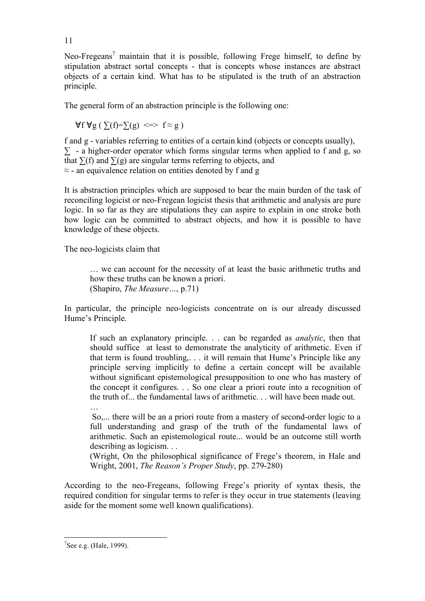Neo-Fregeans<sup>7</sup> maintain that it is possible, following Frege himself, to define by stipulation abstract sortal concepts - that is concepts whose instances are abstract objects of a certain kind. What has to be stipulated is the truth of an abstraction principle.

The general form of an abstraction principle is the following one:

 $\forall f \forall g (\sum(f)=\sum(g) \iff f \approx g)$ 

f and g - variables referring to entities of a certain kind (objects or concepts usually),  $\Sigma$  - a higher-order operator which forms singular terms when applied to f and g, so that  $\sum(f)$  and  $\sum(g)$  are singular terms referring to objects, and  $\approx$  - an equivalence relation on entities denoted by f and g

It is abstraction principles which are supposed to bear the main burden of the task of reconciling logicist or neo-Fregean logicist thesis that arithmetic and analysis are pure logic. In so far as they are stipulations they can aspire to explain in one stroke both how logic can be committed to abstract objects, and how it is possible to have knowledge of these objects.

The neo-logicists claim that

… we can account for the necessity of at least the basic arithmetic truths and how these truths can be known a priori. (Shapiro, *The Measure…*, p.71)

In particular, the principle neo-logicists concentrate on is our already discussed Hume's Principle.

If such an explanatory principle. . . can be regarded as *analytic*, then that should suffice at least to demonstrate the analyticity of arithmetic. Even if that term is found troubling,. . . it will remain that Hume's Principle like any principle serving implicitly to define a certain concept will be available without significant epistemological presupposition to one who has mastery of the concept it configures. . . So one clear a priori route into a recognition of the truth of... the fundamental laws of arithmetic. . . will have been made out.

 So,... there will be an a priori route from a mastery of second-order logic to a full understanding and grasp of the truth of the fundamental laws of arithmetic. Such an epistemological route... would be an outcome still worth describing as logicism. . .

(Wright, On the philosophical significance of Frege's theorem, in Hale and Wright, 2001, *The Reason's Proper Study*, pp. 279-280)

According to the neo-Fregeans, following Frege's priority of syntax thesis, the required condition for singular terms to refer is they occur in true statements (leaving aside for the moment some well known qualifications).

<sup>-&</sup>lt;br>7  $^7$ See e.g. (Hale, 1999).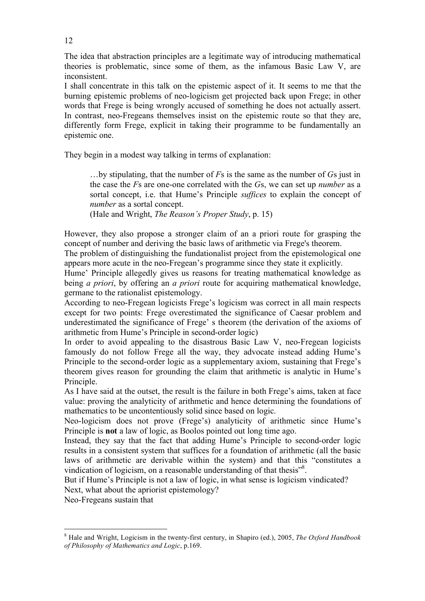The idea that abstraction principles are a legitimate way of introducing mathematical theories is problematic, since some of them, as the infamous Basic Law V, are inconsistent.

I shall concentrate in this talk on the epistemic aspect of it. It seems to me that the burning epistemic problems of neo-logicism get projected back upon Frege; in other words that Frege is being wrongly accused of something he does not actually assert. In contrast, neo-Fregeans themselves insist on the epistemic route so that they are, differently form Frege, explicit in taking their programme to be fundamentally an epistemic one.

They begin in a modest way talking in terms of explanation:

…by stipulating, that the number of *F*s is the same as the number of *G*s just in the case the *F*s are one-one correlated with the *G*s, we can set up *number* as a sortal concept, i.e. that Hume's Principle *suffices* to explain the concept of *number* as a sortal concept.

(Hale and Wright, *The Reason's Proper Study*, p. 15)

However, they also propose a stronger claim of an a priori route for grasping the concept of number and deriving the basic laws of arithmetic via Frege's theorem.

The problem of distinguishing the fundationalist project from the epistemological one appears more acute in the neo-Fregean's programme since they state it explicitly.

Hume' Principle allegedly gives us reasons for treating mathematical knowledge as being *a priori*, by offering an *a priori* route for acquiring mathematical knowledge, germane to the rationalist epistemology.

According to neo-Fregean logicists Frege's logicism was correct in all main respects except for two points: Frege overestimated the significance of Caesar problem and underestimated the significance of Frege' s theorem (the derivation of the axioms of arithmetic from Hume's Principle in second-order logic)

In order to avoid appealing to the disastrous Basic Law V, neo-Fregean logicists famously do not follow Frege all the way, they advocate instead adding Hume's Principle to the second-order logic as a supplementary axiom, sustaining that Frege's theorem gives reason for grounding the claim that arithmetic is analytic in Hume's Principle.

As I have said at the outset, the result is the failure in both Frege's aims, taken at face value: proving the analyticity of arithmetic and hence determining the foundations of mathematics to be uncontentiously solid since based on logic.

Neo-logicism does not prove (Frege's) analyticity of arithmetic since Hume's Principle is **not** a law of logic, as Boolos pointed out long time ago.

Instead, they say that the fact that adding Hume's Principle to second-order logic results in a consistent system that suffices for a foundation of arithmetic (all the basic laws of arithmetic are derivable within the system) and that this "constitutes a vindication of logicism, on a reasonable understanding of that thesis<sup>38</sup>.

But if Hume's Principle is not a law of logic, in what sense is logicism vindicated? Next, what about the apriorist epistemology?

Neo-Fregeans sustain that

 <sup>8</sup> Hale and Wright, Logicism in the twenty-first century, in Shapiro (ed.), 2005, *The Oxford Handbook of Philosophy of Mathematics and Logic*, p.169.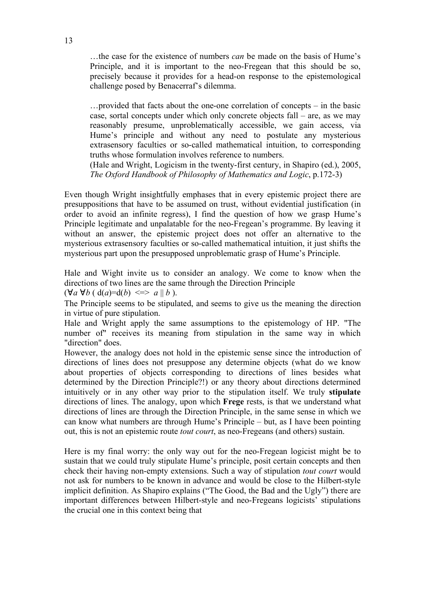…the case for the existence of numbers *can* be made on the basis of Hume's Principle, and it is important to the neo-Fregean that this should be so, precisely because it provides for a head-on response to the epistemological challenge posed by Benacerraf's dilemma.

…provided that facts about the one-one correlation of concepts – in the basic case, sortal concepts under which only concrete objects fall – are, as we may reasonably presume, unproblematically accessible, we gain access, via Hume's principle and without any need to postulate any mysterious extrasensory faculties or so-called mathematical intuition, to corresponding truths whose formulation involves reference to numbers.

(Hale and Wright, Logicism in the twenty-first century, in Shapiro (ed.), 2005, *The Oxford Handbook of Philosophy of Mathematics and Logic*, p.172-3)

Even though Wright insightfully emphases that in every epistemic project there are presuppositions that have to be assumed on trust, without evidential justification (in order to avoid an infinite regress), I find the question of how we grasp Hume's Principle legitimate and unpalatable for the neo-Fregean's programme. By leaving it without an answer, the epistemic project does not offer an alternative to the mysterious extrasensory faculties or so-called mathematical intuition, it just shifts the mysterious part upon the presupposed unproblematic grasp of Hume's Principle.

Hale and Wight invite us to consider an analogy. We come to know when the directions of two lines are the same through the Direction Principle

 $(\forall a \forall b \ (\text{d}(a)=d(b) \iff a \parallel b).$ 

The Principle seems to be stipulated, and seems to give us the meaning the direction in virtue of pure stipulation.

Hale and Wright apply the same assumptions to the epistemology of HP. "The number of receives its meaning from stipulation in the same way in which "direction" does.

However, the analogy does not hold in the epistemic sense since the introduction of directions of lines does not presuppose any determine objects (what do we know about properties of objects corresponding to directions of lines besides what determined by the Direction Principle?!) or any theory about directions determined intuitively or in any other way prior to the stipulation itself. We truly **stipulate** directions of lines. The analogy, upon which **Frege** rests, is that we understand what directions of lines are through the Direction Principle, in the same sense in which we can know what numbers are through Hume's Principle – but, as I have been pointing out, this is not an epistemic route *tout court*, as neo-Fregeans (and others) sustain.

Here is my final worry: the only way out for the neo-Fregean logicist might be to sustain that we could truly stipulate Hume's principle, posit certain concepts and then check their having non-empty extensions. Such a way of stipulation *tout court* would not ask for numbers to be known in advance and would be close to the Hilbert-style implicit definition. As Shapiro explains ("The Good, the Bad and the Ugly") there are important differences between Hilbert-style and neo-Fregeans logicists' stipulations the crucial one in this context being that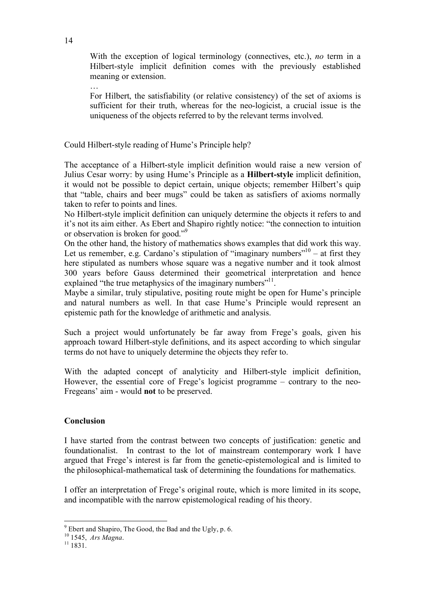With the exception of logical terminology (connectives, etc.), *no* term in a Hilbert-style implicit definition comes with the previously established meaning or extension.

For Hilbert, the satisfiability (or relative consistency) of the set of axioms is sufficient for their truth, whereas for the neo-logicist, a crucial issue is the uniqueness of the objects referred to by the relevant terms involved.

Could Hilbert-style reading of Hume's Principle help?

The acceptance of a Hilbert-style implicit definition would raise a new version of Julius Cesar worry: by using Hume's Principle as a **Hilbert-style** implicit definition, it would not be possible to depict certain, unique objects; remember Hilbert's quip that "table, chairs and beer mugs" could be taken as satisfiers of axioms normally taken to refer to points and lines.

No Hilbert-style implicit definition can uniquely determine the objects it refers to and it's not its aim either. As Ebert and Shapiro rightly notice: "the connection to intuition or observation is broken for good."9

On the other hand, the history of mathematics shows examples that did work this way. Let us remember, e.g. Cardano's stipulation of "imaginary numbers" $10^{\circ}$  – at first they here stipulated as numbers whose square was a negative number and it took almost 300 years before Gauss determined their geometrical interpretation and hence explained "the true metaphysics of the imaginary numbers"<sup>11</sup>.

Maybe a similar, truly stipulative, positing route might be open for Hume's principle and natural numbers as well. In that case Hume's Principle would represent an epistemic path for the knowledge of arithmetic and analysis.

Such a project would unfortunately be far away from Frege's goals, given his approach toward Hilbert-style definitions, and its aspect according to which singular terms do not have to uniquely determine the objects they refer to.

With the adapted concept of analyticity and Hilbert-style implicit definition, However, the essential core of Frege's logicist programme – contrary to the neo-Fregeans' aim - would **not** to be preserved.

#### **Conclusion**

I have started from the contrast between two concepts of justification: genetic and foundationalist. In contrast to the lot of mainstream contemporary work I have argued that Frege's interest is far from the genetic-epistemological and is limited to the philosophical-mathematical task of determining the foundations for mathematics.

I offer an interpretation of Frege's original route, which is more limited in its scope, and incompatible with the narrow epistemological reading of his theory.

…

<sup>-&</sup>lt;br>9  $9^9$  Ebert and Shapiro, The Good, the Bad and the Ugly, p. 6.

<sup>&</sup>lt;sup>10</sup> 1545, *Ars Magna*.<br><sup>11</sup> 1831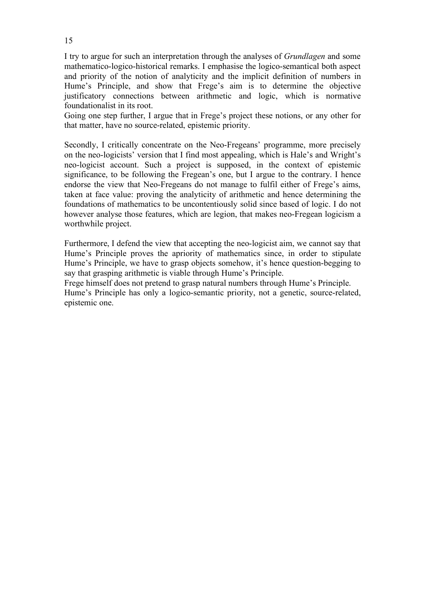I try to argue for such an interpretation through the analyses of *Grundlagen* and some mathematico-logico-historical remarks. I emphasise the logico-semantical both aspect and priority of the notion of analyticity and the implicit definition of numbers in Hume's Principle, and show that Frege's aim is to determine the objective justificatory connections between arithmetic and logic, which is normative foundationalist in its root.

Going one step further, I argue that in Frege's project these notions, or any other for that matter, have no source-related, epistemic priority.

Secondly, I critically concentrate on the Neo-Fregeans' programme, more precisely on the neo-logicists' version that I find most appealing, which is Hale's and Wright's neo-logicist account. Such a project is supposed, in the context of epistemic significance, to be following the Fregean's one, but I argue to the contrary. I hence endorse the view that Neo-Fregeans do not manage to fulfil either of Frege's aims, taken at face value: proving the analyticity of arithmetic and hence determining the foundations of mathematics to be uncontentiously solid since based of logic. I do not however analyse those features, which are legion, that makes neo-Fregean logicism a worthwhile project.

Furthermore, I defend the view that accepting the neo-logicist aim, we cannot say that Hume's Principle proves the apriority of mathematics since, in order to stipulate Hume's Principle, we have to grasp objects somehow, it's hence question-begging to say that grasping arithmetic is viable through Hume's Principle.

Frege himself does not pretend to grasp natural numbers through Hume's Principle. Hume's Principle has only a logico-semantic priority, not a genetic, source-related, epistemic one.